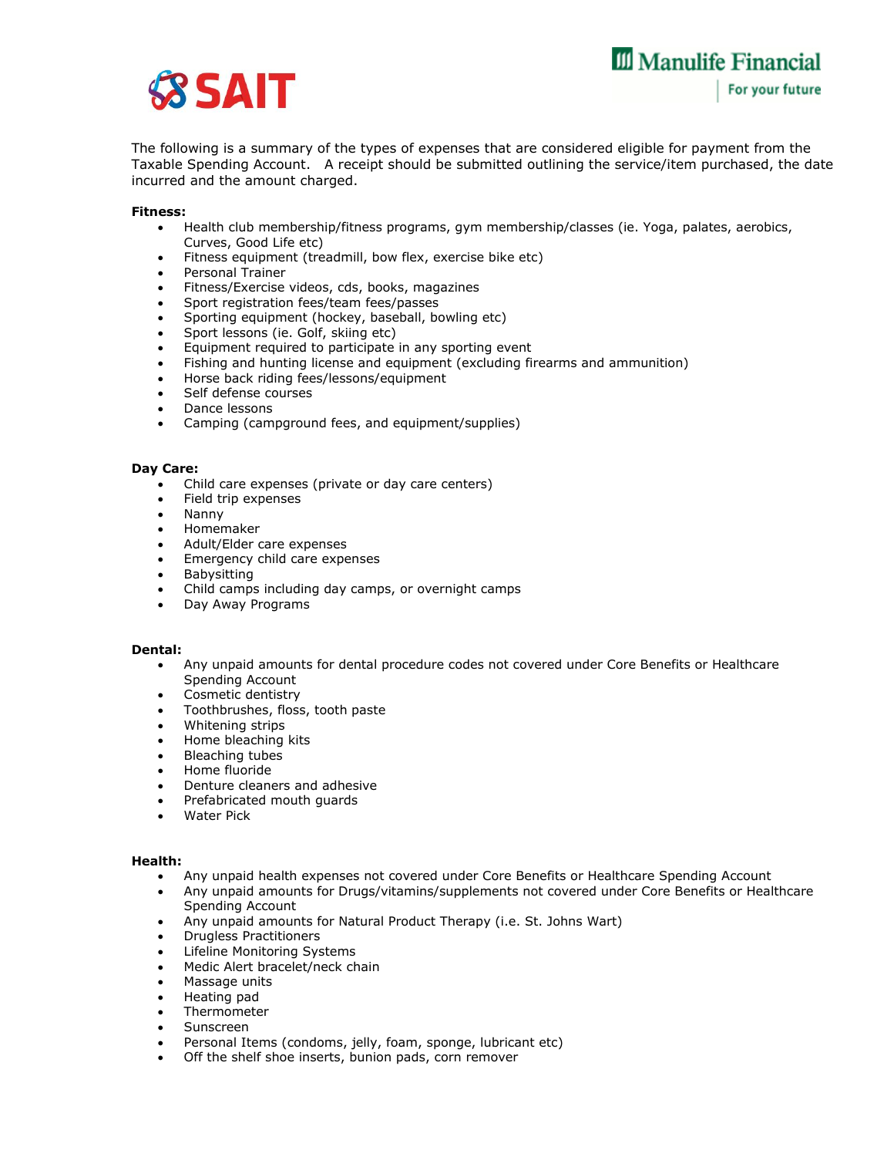

The following is a summary of the types of expenses that are considered eligible for payment from the Taxable Spending Account. A receipt should be submitted outlining the service/item purchased, the date incurred and the amount charged.

## **Fitness:**

- Health club membership/fitness programs, gym membership/classes (ie. Yoga, palates, aerobics, Curves, Good Life etc)
- Fitness equipment (treadmill, bow flex, exercise bike etc)
- Personal Trainer
- Fitness/Exercise videos, cds, books, magazines
- Sport registration fees/team fees/passes
- Sporting equipment (hockey, baseball, bowling etc)
- Sport lessons (ie. Golf, skiing etc)
- Equipment required to participate in any sporting event
- Fishing and hunting license and equipment (excluding firearms and ammunition)
- Horse back riding fees/lessons/equipment
- Self defense courses
- Dance lessons
- Camping (campground fees, and equipment/supplies)

## **Day Care:**

- Child care expenses (private or day care centers)
- Field trip expenses
- Nanny
- Homemaker
- Adult/Elder care expenses
- Emergency child care expenses
- Babysitting
- Child camps including day camps, or overnight camps
- Day Away Programs

# **Dental:**

- Any unpaid amounts for dental procedure codes not covered under Core Benefits or Healthcare Spending Account
- Cosmetic dentistry
- Toothbrushes, floss, tooth paste
- Whitening strips
- Home bleaching kits
- Bleaching tubes
- Home fluoride
- Denture cleaners and adhesive
- Prefabricated mouth guards
- Water Pick

# **Health:**

- Any unpaid health expenses not covered under Core Benefits or Healthcare Spending Account
- Any unpaid amounts for Drugs/vitamins/supplements not covered under Core Benefits or Healthcare Spending Account
- Any unpaid amounts for Natural Product Therapy (i.e. St. Johns Wart)
- Drugless Practitioners
- Lifeline Monitoring Systems
- Medic Alert bracelet/neck chain
- Massage units
- Heating pad
- Thermometer
- Sunscreen
- Personal Items (condoms, jelly, foam, sponge, lubricant etc)
- Off the shelf shoe inserts, bunion pads, corn remover